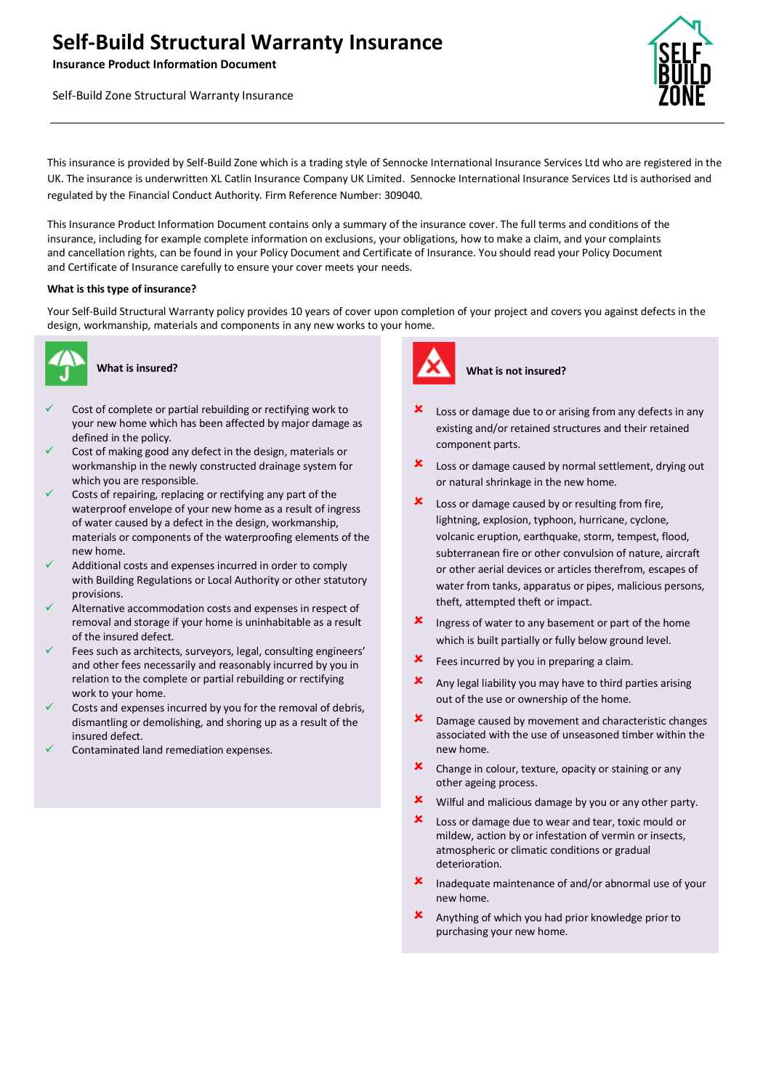# **Self-Build Structural Warranty Insurance**

**Insurance Product Information Document**

Self-Build Zone Structural Warranty Insurance



anding

This insurance is provided by Self-Build Zone which is a trading style of Sennocke International Insurance Services Ltd who are registered in the UK. The insurance is underwritten XL Catlin Insurance Company UK Limited. Sennocke International Insurance Services Ltd is authorised and regulated by the Financial Conduct Authority. Firm Reference Number: 309040.

This Insurance Product Information Document contains only a summary of the insurance cover. The full terms and conditions of the insurance, including for example complete information on exclusions, your obligations, how to make a claim, and your complaints and cancellation rights, can be found in your Policy Document and Certificate of Insurance. You should read your Policy Document and Certificate of Insurance carefully to ensure your cover meets your needs.

### **What is this type of insurance?**

Your Self-Build Structural Warranty policy provides 10 years of cover upon completion of your project and covers you against defects in the design, workmanship, materials and components in any new works to your home.



# **What is insured?**

- Cost of complete or partial rebuilding or rectifying work to your new home which has been affected by major damage as defined in the policy.
- Cost of making good any defect in the design, materials or workmanship in the newly constructed drainage system for which you are responsible.
- Costs of repairing, replacing or rectifying any part of the waterproof envelope of your new home as a result of ingress of water caused by a defect in the design, workmanship, materials or components of the waterproofing elements of the new home.
- Additional costs and expenses incurred in order to comply with Building Regulations or Local Authority or other statutory provisions.
- Alternative accommodation costs and expenses in respect of removal and storage if your home is uninhabitable as a result of the insured defect.
- Fees such as architects, surveyors, legal, consulting engineers' and other fees necessarily and reasonably incurred by you in relation to the complete or partial rebuilding or rectifying work to your home.
- Costs and expenses incurred by you for the removal of debris, dismantling or demolishing, and shoring up as a result of the insured defect.
- ✓ Contaminated land remediation expenses.



#### **What is not insured?**

- Loss or damage due to or arising from any defects in any existing and/or retained structures and their retained component parts.
- Loss or damage caused by normal settlement, drying out or natural shrinkage in the new home.
- **x** Loss or damage caused by or resulting from fire, lightning, explosion, typhoon, hurricane, cyclone, volcanic eruption, earthquake, storm, tempest, flood, subterranean fire or other convulsion of nature, aircraft or other aerial devices or articles therefrom, escapes of water from tanks, apparatus or pipes, malicious persons, theft, attempted theft or impact.
- **x** Ingress of water to any basement or part of the home which is built partially or fully below ground level.
- Fees incurred by you in preparing a claim.
- $\boldsymbol{\times}$  Any legal liability you may have to third parties arising out of the use or ownership of the home.
- **x** Damage caused by movement and characteristic changes associated with the use of unseasoned timber within the new home.
- **x** Change in colour, texture, opacity or staining or any other ageing process.
- $\mathbf{\times}$  Wilful and malicious damage by you or any other party.
- Loss or damage due to wear and tear, toxic mould or mildew, action by or infestation of vermin or insects, atmospheric or climatic conditions or gradual deterioration.
- Inadequate maintenance of and/or abnormal use of your new home.
- Anything of which you had prior knowledge prior to purchasing your new home.